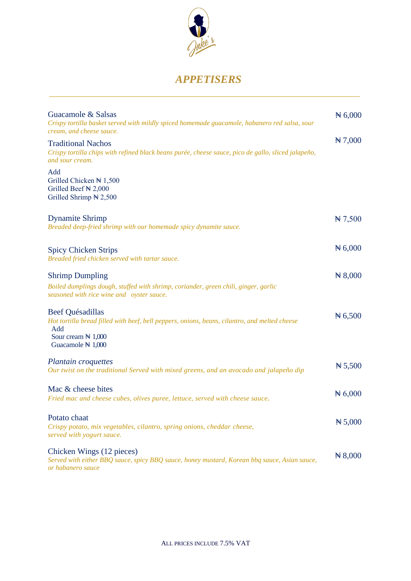

### *APPETISERS*

| Guacamole & Salsas<br>Crispy tortilla basket served with mildly spiced homemade guacamole, habanero red salsa, sour<br>cream, and cheese sauce.                                                           | $\cancel{H}$ 6,000 |
|-----------------------------------------------------------------------------------------------------------------------------------------------------------------------------------------------------------|--------------------|
| <b>Traditional Nachos</b><br>Crispy tortilla chips with refined black beans purée, cheese sauce, pico de gallo, sliced jalapeño,<br>and sour cream.                                                       | $\cancel{H}$ 7,000 |
| Add<br>Grilled Chicken $\mathbb{N}$ 1,500<br>Grilled Beef N 2,000<br>Grilled Shrimp $\cancel{\text{N}}$ 2,500                                                                                             |                    |
| <b>Dynamite Shrimp</b><br>Breaded deep-fried shrimp with our homemade spicy dynamite sauce.                                                                                                               | $\cancel{H}$ 7,500 |
| <b>Spicy Chicken Strips</b><br>Breaded fried chicken served with tartar sauce.                                                                                                                            | $\cancel{H} 6,000$ |
| <b>Shrimp Dumpling</b><br>Boiled dumplings dough, stuffed with shrimp, coriander, green chili, ginger, garlic<br>seasoned with rice wine and oyster sauce.                                                | $\cancel{R}8,000$  |
| Beef Quésadillas<br>Hot tortilla bread filled with beef, bell peppers, onions, beans, cilantro, and melted cheese<br>Add<br>Sour cream $\cancel{\text{H}}$ 1,000<br>Guacamole $\cancel{\mathbb{N}}$ 1,000 | $\cancel{R}$ 6,500 |
| Plantain croquettes<br>Our twist on the traditional Served with mixed greens, and an avocado and jalapeño dip                                                                                             | $\cancel{H}$ 5,500 |
| Mac & cheese bites<br>Fried mac and cheese cubes, olives puree, lettuce, served with cheese sauce.                                                                                                        | $\cancel{H} 6,000$ |
| Potato chaat<br>Crispy potato, mix vegetables, cilantro, spring onions, cheddar cheese,<br>served with yogurt sauce.                                                                                      | $\cancel{H}$ 5,000 |
| Chicken Wings (12 pieces)<br>Served with either BBQ sauce, spicy BBQ sauce, honey mustard, Korean bbq sauce, Asian sauce,<br>or habanero sauce                                                            | $\cancel{R}8,000$  |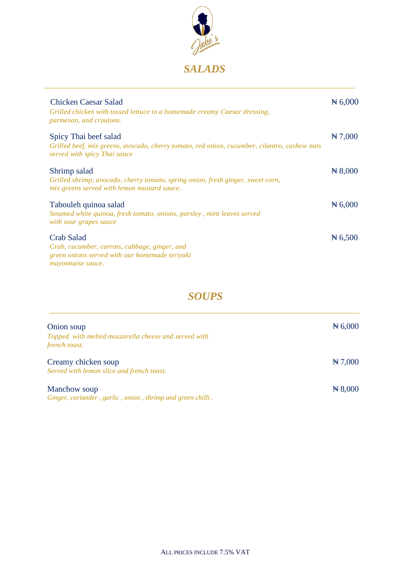

| Chicken Caesar Salad<br>Grilled chicken with tossed lettuce in a homemade creamy Caesar dressing,<br>parmesan, and croutons.                          | $\# 6,000$         |
|-------------------------------------------------------------------------------------------------------------------------------------------------------|--------------------|
| Spicy Thai beef salad<br>Grilled beef, mix greens, avocado, cherry tomato, red onion, cucumber, cilantro, cashew nuts<br>served with spicy Thai sauce | $\cancel{H}$ 7,000 |
| Shrimp salad<br>Grilled shrimp, avocado, cherry tomato, spring onion, fresh ginger, sweet corn,<br>mix greens served with lemon mustard sauce.        | $\cancel{H}8,000$  |
| Tabouleh quinoa salad<br>Steamed white quinoa, fresh tomato, onions, parsley, mint leaves served<br>with sour grapes sauce                            | $\cancel{H}$ 6,000 |
| <b>Crab Salad</b><br>Crab, cucumber, carrots, cabbage, ginger, and<br>green onions served with our homemade teriyaki<br>mayonnaise sauce.             | $\cancel{H}$ 6,500 |

### *SOUPS*

| Onion soup                                                                 | $\cancel{H}$ 6,000 |
|----------------------------------------------------------------------------|--------------------|
| Topped with melted mozzarella cheese and served with<br>french toast.      |                    |
| Creamy chicken soup<br>Served with lemon slice and french toast.           | $\cancel{H}$ 7,000 |
| Manchow soup<br>Ginger, coriander, garlic, onion, shrimp and green chilli. | $\cancel{R}8,000$  |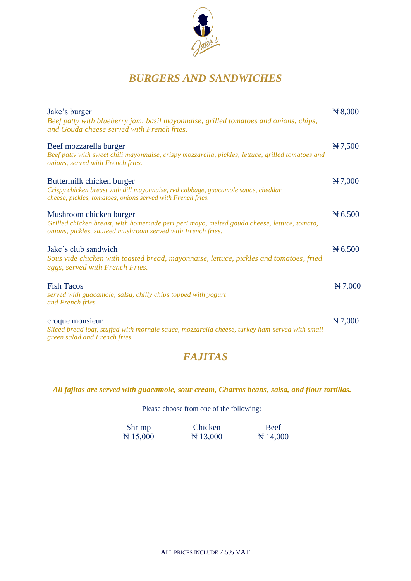

## *BURGERS AND SANDWICHES*

| Jake's burger<br>Beef patty with blueberry jam, basil mayonnaise, grilled tomatoes and onions, chips,<br>and Gouda cheese served with French fries.                                   | $\cancel{R}8,000$  |
|---------------------------------------------------------------------------------------------------------------------------------------------------------------------------------------|--------------------|
| Beef mozzarella burger<br>Beef patty with sweet chili mayonnaise, crispy mozzarella, pickles, lettuce, grilled tomatoes and<br>onions, served with French fries.                      | $\cancel{H}$ 7,500 |
| Buttermilk chicken burger<br>Crispy chicken breast with dill mayonnaise, red cabbage, guacamole sauce, cheddar<br>cheese, pickles, tomatoes, onions served with French fries.         | $\cancel{H}$ 7,000 |
| Mushroom chicken burger<br>Grilled chicken breast, with homemade peri peri mayo, melted gouda cheese, lettuce, tomato,<br>onions, pickles, sauteed mushroom served with French fries. | $\cancel{H}$ 6,500 |
| Jake's club sandwich<br>Sous vide chicken with toasted bread, mayonnaise, lettuce, pickles and tomatoes, fried<br>eggs, served with French Fries.                                     | $\cancel{H}$ 6,500 |
| <b>Fish Tacos</b><br>served with guacamole, salsa, chilly chips topped with yogurt<br>and French fries.                                                                               | $\cancel{H}$ 7,000 |
| croque monsieur<br>Sliced bread loaf, stuffed with mornaie sauce, mozzarella cheese, turkey ham served with small<br>green salad and French fries.                                    | $\cancel{H}$ 7,000 |

### *FAJITAS*

*All fajitas are served with guacamole, sour cream, Charros beans, salsa, and flour tortillas.*

Please choose from one of the following:

| Shrimp       | Chicken             | <b>Beef</b>         |
|--------------|---------------------|---------------------|
| $\pm 15,000$ | $\cancel{H}$ 13,000 | $\cancel{H}$ 14,000 |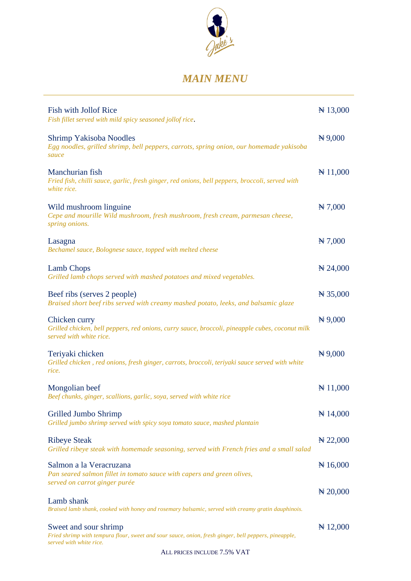

# *MAIN MENU*

| <b>Fish with Jollof Rice</b><br>Fish fillet served with mild spicy seasoned jollof rice.                                                                 | $\cancel{H}$ 13,000  |
|----------------------------------------------------------------------------------------------------------------------------------------------------------|----------------------|
| Shrimp Yakisoba Noodles<br>Egg noodles, grilled shrimp, bell peppers, carrots, spring onion, our homemade yakisoba<br>sauce                              | $H\,9,000$           |
| Manchurian fish<br>Fried fish, chilli sauce, garlic, fresh ginger, red onions, bell peppers, broccoli, served with<br>white rice.                        | $\cancel{H}$ 11,000  |
| Wild mushroom linguine<br>Cepe and mourille Wild mushroom, fresh mushroom, fresh cream, parmesan cheese,<br>spring onions.                               | $\cancel{H}$ 7,000   |
| Lasagna<br>Bechamel sauce, Bolognese sauce, topped with melted cheese                                                                                    | $\cancel{H}$ 7,000   |
| <b>Lamb Chops</b><br>Grilled lamb chops served with mashed potatoes and mixed vegetables.                                                                | $\cancel{1}$ 24,000  |
| Beef ribs (serves 2 people)<br>Braised short beef ribs served with creamy mashed potato, leeks, and balsamic glaze                                       | $\cancel{14}$ 35,000 |
| Chicken curry<br>Grilled chicken, bell peppers, red onions, curry sauce, broccoli, pineapple cubes, coconut milk<br>served with white rice.              | $\cancel{H}$ 9,000   |
| Teriyaki chicken<br>Grilled chicken, red onions, fresh ginger, carrots, broccoli, teriyaki sauce served with white<br>rice.                              | $H\,9,000$           |
| Mongolian beef<br>Beef chunks, ginger, scallions, garlic, soya, served with white rice                                                                   | $\cancel{H}$ 11,000  |
| Grilled Jumbo Shrimp<br>Grilled jumbo shrimp served with spicy soya tomato sauce, mashed plantain                                                        | $\cancel{H}$ 14,000  |
| <b>Ribeye Steak</b><br>Grilled ribeye steak with homemade seasoning, served with French fries and a small salad                                          | $\cancel{1}$ 22,000  |
| Salmon a la Veracruzana<br>Pan seared salmon fillet in tomato sauce with capers and green olives,<br>served on carrot ginger purée                       | $\cancel{16,000}$    |
| Lamb shank                                                                                                                                               | $\cancel{10000}$     |
| Braised lamb shank, cooked with honey and rosemary balsamic, served with creamy gratin dauphinois.                                                       |                      |
| Sweet and sour shrimp<br>Fried shrimp with tempura flour, sweet and sour sauce, onion, fresh ginger, bell peppers, pineapple,<br>served with white rice. | $\cancel{12,000}$    |
| ALL PRICES INCLUDE 7.5% VAT                                                                                                                              |                      |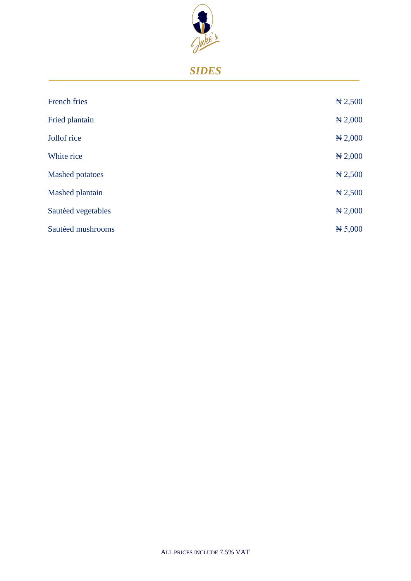

# *SIDES*

| <b>French fries</b>    | $\cancel{R}$ 2,500 |
|------------------------|--------------------|
| Fried plantain         | $*2,000$           |
| Jollof rice            | $*2,000$           |
| White rice             | $*2,000$           |
| <b>Mashed potatoes</b> | $\cancel{R}$ 2,500 |
| Mashed plantain        | $\cancel{R}$ 2,500 |
| Sautéed vegetables     | $*2,000$           |
| Sautéed mushrooms      | $\cancel{H}$ 5,000 |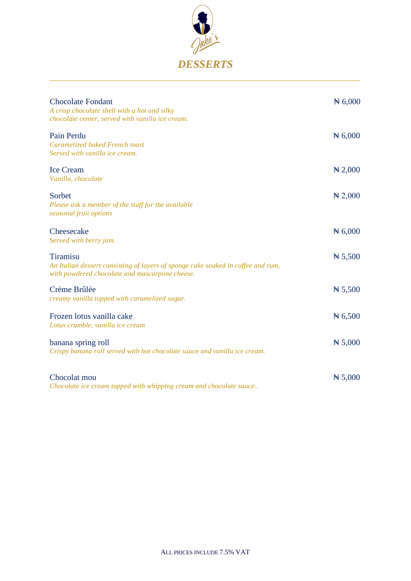

| <b>Chocolate Fondant</b><br>A crisp chocolate shell with a hot and silky<br>chocolate center, served with vanilla ice cream.                          | # 6,000            |
|-------------------------------------------------------------------------------------------------------------------------------------------------------|--------------------|
| Pain Perdu<br>Caramelized baked French toast<br>Served with vanilla ice cream.                                                                        | $\cancel{H}$ 6,000 |
| <b>Ice Cream</b><br>Vanilla, chocolate                                                                                                                | $\cancel{1}$ 2,000 |
| Sorbet<br>Please ask a member of the staff for the available<br>seasonal fruit options                                                                | $\cancel{+}$ 2,000 |
| Cheesecake<br>Served with berry jam.                                                                                                                  | $\cancel{H}$ 6,000 |
| <b>Tiramisu</b><br>An Italian dessert consisting of layers of sponge cake soaked in coffee and rum,<br>with powdered chocolate and mascarpone cheese. | $\cancel{H}$ 5,500 |
| Crème Brûlée<br>creamy vanilla topped with caramelized sugar.                                                                                         | # 5,500            |
| Frozen lotus vanilla cake<br>Lotus crumble, vanilla ice cream                                                                                         | $\cancel{H}$ 6,500 |
| banana spring roll<br>Crispy banana roll served with hot chocolate sauce and vanilla ice cream.                                                       | $\cancel{H}$ 5,000 |
| Chocolat mou<br>Chocolate ice cream topped with whipping cream and chocolate sauce                                                                    | # 5,000            |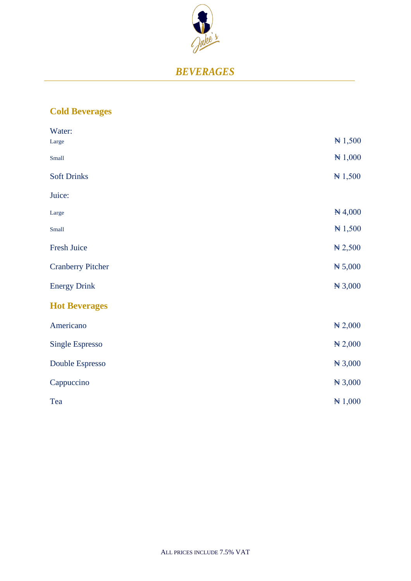

### *BEVERAGES*

#### **Cold Beverages**

| Water:                   |                    |
|--------------------------|--------------------|
| Large                    | # 1,500            |
| Small                    | # 1,000            |
| <b>Soft Drinks</b>       | $H\approx 1,500$   |
| Juice:                   |                    |
| Large                    | #4,000             |
| Small                    | $H\approx 1,500$   |
| Fresh Juice              | $\cancel{R}$ 2,500 |
| <b>Cranberry Pitcher</b> | # 5,000            |
| <b>Energy Drink</b>      | $H\,3,000$         |
| <b>Hot Beverages</b>     |                    |
| Americano                | #2,000             |
| <b>Single Espresso</b>   | #2,000             |
| Double Espresso          | #3,000             |
| Cappuccino               | #3,000             |
| Tea                      | # 1,000            |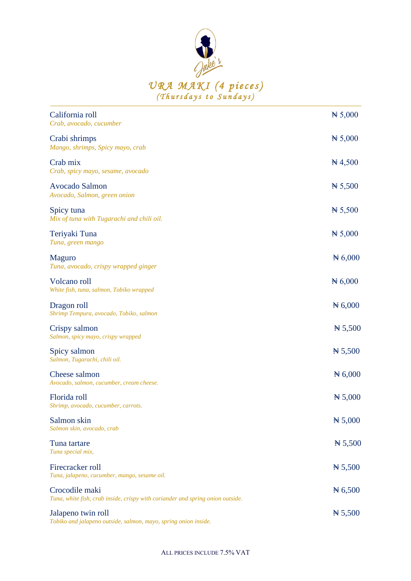

| California roll<br>Crab, avocado, cucumber                                                       | # 5,000    |
|--------------------------------------------------------------------------------------------------|------------|
| Crabi shrimps<br>Mango, shrimps, Spicy mayo, crab                                                | # 5,000    |
| Crab mix<br>Crab, spicy mayo, sesame, avocado                                                    | $\#$ 4,500 |
| <b>Avocado Salmon</b><br>Avocado, Salmon, green onion                                            | # 5,500    |
| Spicy tuna<br>Mix of tuna with Tugarachi and chili oil.                                          | # 5,500    |
| Teriyaki Tuna<br>Tuna, green mango                                                               | # 5,000    |
| <b>Maguro</b><br>Tuna, avocado, crispy wrapped ginger                                            | # 6,000    |
| Volcano roll<br>White fish, tuna, salmon, Tobiko wrapped                                         | # 6,000    |
| Dragon roll<br>Shrimp Tempura, avocado, Tobiko, salmon                                           | # 6,000    |
| Crispy salmon<br>Salmon, spicy mayo, crispy wrapped                                              | # 5,500    |
| Spicy salmon<br>Salmon, Tugarachi, chili oil.                                                    | # 5,500    |
| Cheese salmon<br>Avocado, salmon, cucumber, cream cheese.                                        | # 6,000    |
| Florida roll<br>Shrimp, avocado, cucumber, carrots.                                              | # 5,000    |
| Salmon skin<br>Salmon skin, avocado, crab                                                        | # 5,000    |
| Tuna tartare<br>Tuna special mix,                                                                | # 5,500    |
| Firecracker roll<br>Tuna, jalapeno, cucumber, mango, sesame oil.                                 | # 5,500    |
| Crocodile maki<br>Tuna, white fish, crab inside, crispy with coriander and spring onion outside. | # 6,500    |
| Jalapeno twin roll<br>Tobiko and jalapeno outside, salmon, mayo, spring onion inside.            | # 5,500    |